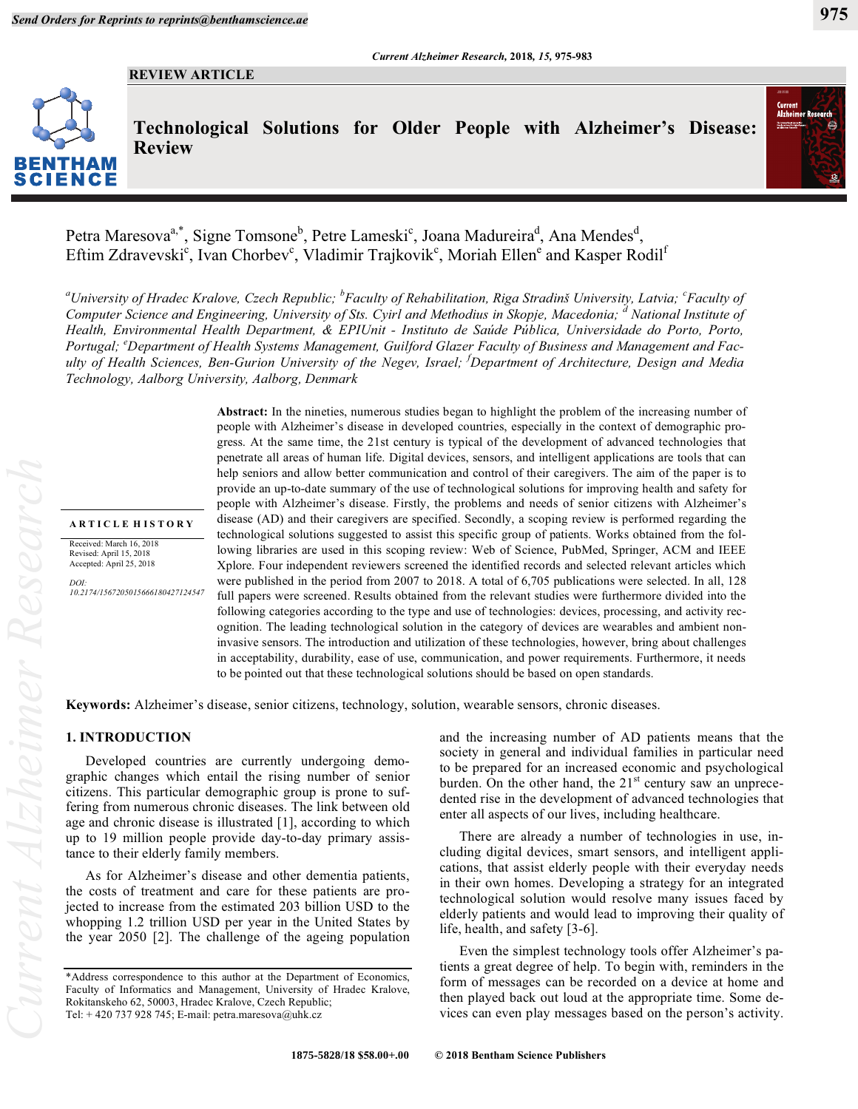# **REVIEW ARTICLE**



**Technological Solutions for Older People with Alzheimer's Disease: Review**



Petra Maresova<sup>a,\*</sup>, Signe Tomsone<sup>b</sup>, Petre Lameski<sup>c</sup>, Joana Madureira<sup>d</sup>, Ana Mendes<sup>d</sup>, Eftim Zdravevski<sup>c</sup>, Ivan Chorbev<sup>c</sup>, Vladimir Trajkovik<sup>c</sup>, Moriah Ellen<sup>e</sup> and Kasper Rodil<sup>f</sup>

*a University of Hradec Kralove, Czech Republic; <sup>b</sup> Faculty of Rehabilitation, Riga Stradinš University, Latvia; <sup>c</sup> Faculty of*  Computer Science and Engineering, University of Sts. Cyirl and Methodius in Skopje, Macedonia; <sup>a</sup> National Institute of *Health, Environmental Health Department, & EPIUnit - Instituto de Saúde Pública, Universidade do Porto, Porto, Portugal; <sup>e</sup> Department of Health Systems Management, Guilford Glazer Faculty of Business and Management and Faculty of Health Sciences, Ben-Gurion University of the Negev, Israel; <sup>f</sup> Department of Architecture, Design and Media Technology, Aalborg University, Aalborg, Denmark* 

#### **A R T I C L E H I S T O R Y**

Received: March 16, 2018 Revised: April 15, 2018 Accepted: April 25, 2018

*DOI: 10.2174/1567205015666180427124547*

**Abstract:** In the nineties, numerous studies began to highlight the problem of the increasing number of people with Alzheimer's disease in developed countries, especially in the context of demographic progress. At the same time, the 21st century is typical of the development of advanced technologies that penetrate all areas of human life. Digital devices, sensors, and intelligent applications are tools that can help seniors and allow better communication and control of their caregivers. The aim of the paper is to provide an up-to-date summary of the use of technological solutions for improving health and safety for people with Alzheimer's disease. Firstly, the problems and needs of senior citizens with Alzheimer's disease (AD) and their caregivers are specified. Secondly, a scoping review is performed regarding the technological solutions suggested to assist this specific group of patients. Works obtained from the following libraries are used in this scoping review: Web of Science, PubMed, Springer, ACM and IEEE Xplore. Four independent reviewers screened the identified records and selected relevant articles which were published in the period from 2007 to 2018. A total of 6,705 publications were selected. In all, 128 full papers were screened. Results obtained from the relevant studies were furthermore divided into the following categories according to the type and use of technologies: devices, processing, and activity recognition. The leading technological solution in the category of devices are wearables and ambient noninvasive sensors. The introduction and utilization of these technologies, however, bring about challenges in acceptability, durability, ease of use, communication, and power requirements. Furthermore, it needs to be pointed out that these technological solutions should be based on open standards.

**Keywords:** Alzheimer's disease, senior citizens, technology, solution, wearable sensors, chronic diseases.

### **1. INTRODUCTION**

Developed countries are currently undergoing demographic changes which entail the rising number of senior citizens. This particular demographic group is prone to suffering from numerous chronic diseases. The link between old age and chronic disease is illustrated [1], according to which up to 19 million people provide day-to-day primary assistance to their elderly family members.

As for Alzheimer's disease and other dementia patients, the costs of treatment and care for these patients are projected to increase from the estimated 203 billion USD to the whopping 1.2 trillion USD per year in the United States by the year 2050 [2]. The challenge of the ageing population

and the increasing number of AD patients means that the society in general and individual families in particular need to be prepared for an increased economic and psychological burden. On the other hand, the  $21<sup>st</sup>$  century saw an unprecedented rise in the development of advanced technologies that enter all aspects of our lives, including healthcare.

There are already a number of technologies in use, including digital devices, smart sensors, and intelligent applications, that assist elderly people with their everyday needs in their own homes. Developing a strategy for an integrated technological solution would resolve many issues faced by elderly patients and would lead to improving their quality of life, health, and safety [3-6].

Even the simplest technology tools offer Alzheimer's patients a great degree of help. To begin with, reminders in the form of messages can be recorded on a device at home and then played back out loud at the appropriate time. Some devices can even play messages based on the person's activity.

<sup>\*</sup>Address correspondence to this author at the Department of Economics, Faculty of Informatics and Management, University of Hradec Kralove, Rokitanskeho 62, 50003, Hradec Kralove, Czech Republic; Tel: + 420 737 928 745; E-mail: petra.maresova@uhk.cz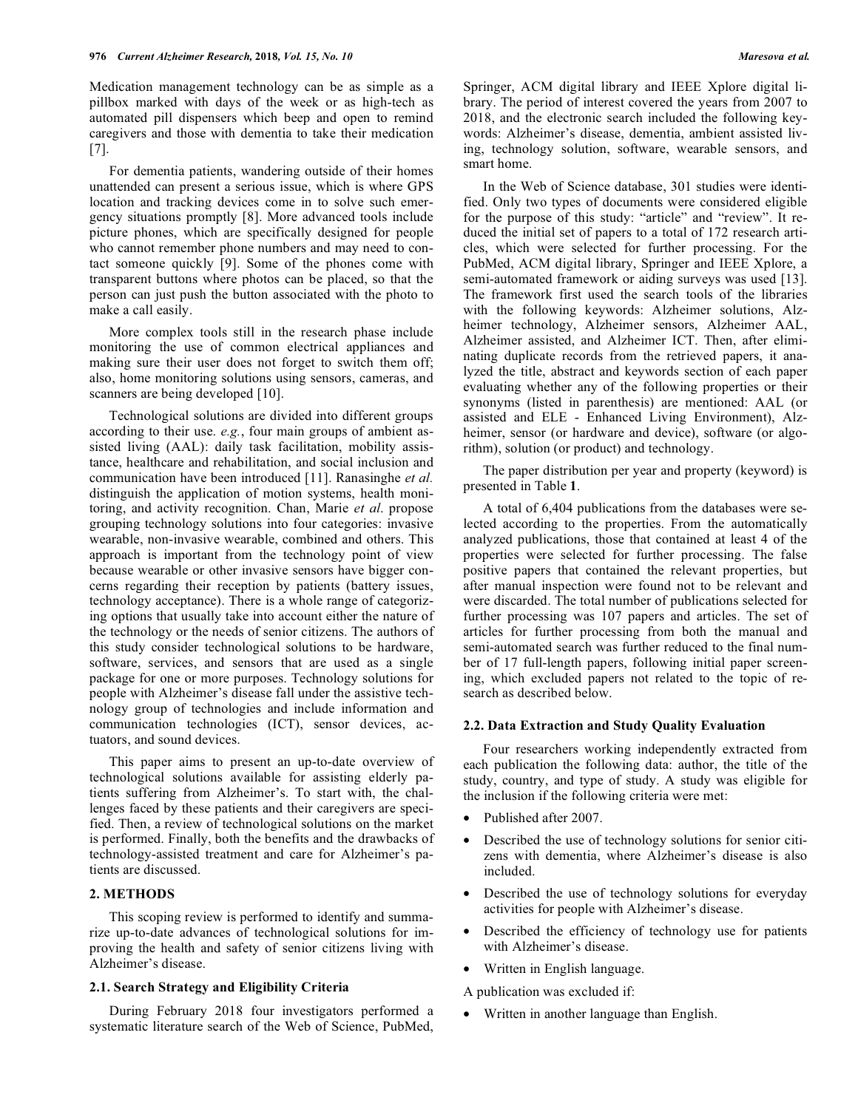Medication management technology can be as simple as a pillbox marked with days of the week or as high-tech as automated pill dispensers which beep and open to remind caregivers and those with dementia to take their medication [7].

For dementia patients, wandering outside of their homes unattended can present a serious issue, which is where GPS location and tracking devices come in to solve such emergency situations promptly [8]. More advanced tools include picture phones, which are specifically designed for people who cannot remember phone numbers and may need to contact someone quickly [9]. Some of the phones come with transparent buttons where photos can be placed, so that the person can just push the button associated with the photo to make a call easily.

More complex tools still in the research phase include monitoring the use of common electrical appliances and making sure their user does not forget to switch them off; also, home monitoring solutions using sensors, cameras, and scanners are being developed [10].

Technological solutions are divided into different groups according to their use. *e.g.*, four main groups of ambient assisted living (AAL): daily task facilitation, mobility assistance, healthcare and rehabilitation, and social inclusion and communication have been introduced [11]. Ranasinghe *et al.* distinguish the application of motion systems, health monitoring, and activity recognition. Chan, Marie *et al*. propose grouping technology solutions into four categories: invasive wearable, non-invasive wearable, combined and others. This approach is important from the technology point of view because wearable or other invasive sensors have bigger concerns regarding their reception by patients (battery issues, technology acceptance). There is a whole range of categorizing options that usually take into account either the nature of the technology or the needs of senior citizens. The authors of this study consider technological solutions to be hardware, software, services, and sensors that are used as a single package for one or more purposes. Technology solutions for people with Alzheimer's disease fall under the assistive technology group of technologies and include information and communication technologies (ICT), sensor devices, actuators, and sound devices.

This paper aims to present an up-to-date overview of technological solutions available for assisting elderly patients suffering from Alzheimer's. To start with, the challenges faced by these patients and their caregivers are specified. Then, a review of technological solutions on the market is performed. Finally, both the benefits and the drawbacks of technology-assisted treatment and care for Alzheimer's patients are discussed.

### **2. METHODS**

This scoping review is performed to identify and summarize up-to-date advances of technological solutions for improving the health and safety of senior citizens living with Alzheimer's disease.

### **2.1. Search Strategy and Eligibility Criteria**

During February 2018 four investigators performed a systematic literature search of the Web of Science, PubMed, Springer, ACM digital library and IEEE Xplore digital library. The period of interest covered the years from 2007 to 2018, and the electronic search included the following keywords: Alzheimer's disease, dementia, ambient assisted living, technology solution, software, wearable sensors, and smart home.

In the Web of Science database, 301 studies were identified. Only two types of documents were considered eligible for the purpose of this study: "article" and "review". It reduced the initial set of papers to a total of 172 research articles, which were selected for further processing. For the PubMed, ACM digital library, Springer and IEEE Xplore, a semi-automated framework or aiding surveys was used [13]. The framework first used the search tools of the libraries with the following keywords: Alzheimer solutions, Alzheimer technology, Alzheimer sensors, Alzheimer AAL, Alzheimer assisted, and Alzheimer ICT. Then, after eliminating duplicate records from the retrieved papers, it analyzed the title, abstract and keywords section of each paper evaluating whether any of the following properties or their synonyms (listed in parenthesis) are mentioned: AAL (or assisted and ELE - Enhanced Living Environment), Alzheimer, sensor (or hardware and device), software (or algorithm), solution (or product) and technology.

The paper distribution per year and property (keyword) is presented in Table **1**.

A total of 6,404 publications from the databases were selected according to the properties. From the automatically analyzed publications, those that contained at least 4 of the properties were selected for further processing. The false positive papers that contained the relevant properties, but after manual inspection were found not to be relevant and were discarded. The total number of publications selected for further processing was 107 papers and articles. The set of articles for further processing from both the manual and semi-automated search was further reduced to the final number of 17 full-length papers, following initial paper screening, which excluded papers not related to the topic of research as described below.

# **2.2. Data Extraction and Study Quality Evaluation**

Four researchers working independently extracted from each publication the following data: author, the title of the study, country, and type of study. A study was eligible for the inclusion if the following criteria were met:

- Published after 2007.
- Described the use of technology solutions for senior citizens with dementia, where Alzheimer's disease is also included.
- Described the use of technology solutions for everyday activities for people with Alzheimer's disease.
- Described the efficiency of technology use for patients with Alzheimer's disease.
- Written in English language.
- A publication was excluded if:
- Written in another language than English.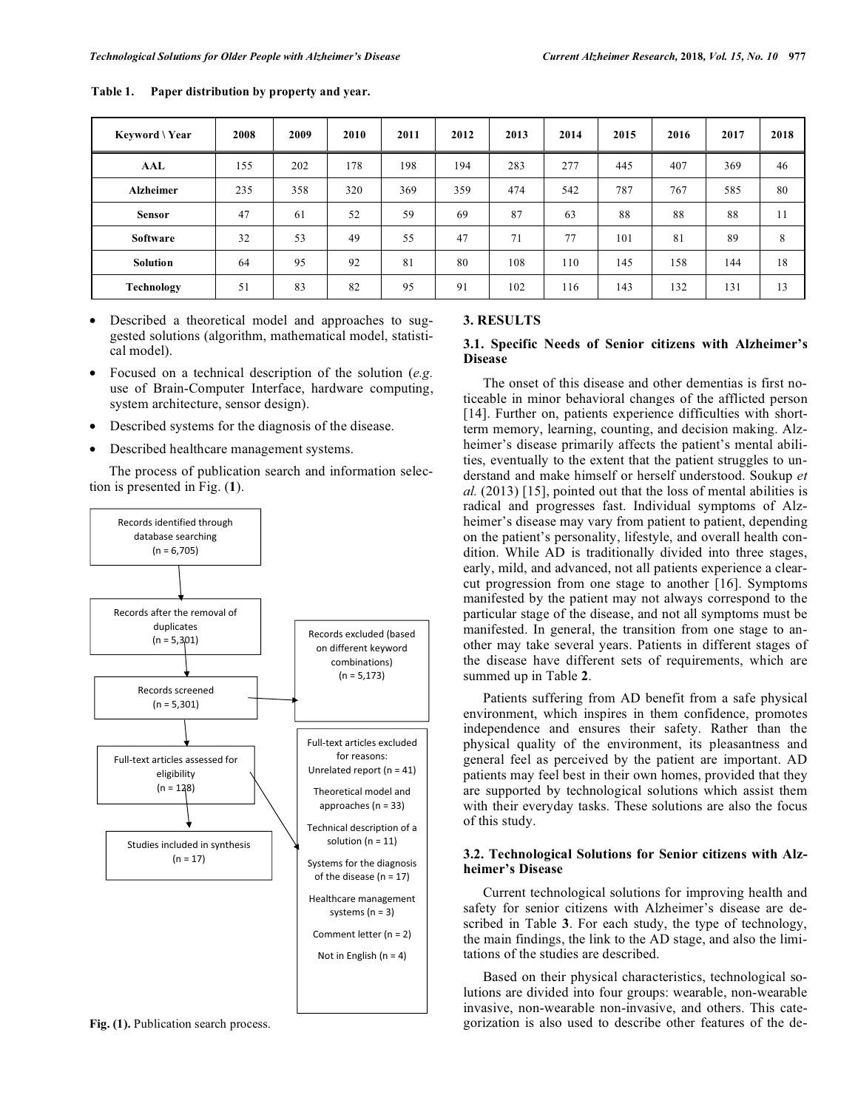| Keyword \ Year   | 2008 | 2009 | 2010 | 2011 | 2012 | 2013 | 2014 | 2015 | 2016 | 2017 | 2018 |
|------------------|------|------|------|------|------|------|------|------|------|------|------|
| AAL              | 155  | 202  | 178  | 198  | 194  | 283  | 277  | 445  | 407  | 369  | 46   |
| <b>Alzheimer</b> | 235  | 358  | 320  | 369  | 359  | 474  | 542  | 787  | 767  | 585  | 80   |
| <b>Sensor</b>    | 47   | 61   | 52   | 59   | 69   | 87   | 63   | 88   | 88   | 88   | 11   |
| <b>Software</b>  | 32   | 53   | 49   | 55   | 47   | 71   | 77   | 101  | 81   | 89   | 8    |
| <b>Solution</b>  | 64   | 95   | 92   | 81   | 80   | 108  | 110  | 145  | 158  | 144  | 18   |
| Technology       | 51   | 83   | 82   | 95   | 91   | 102  | 116  | 143  | 132  | 131  | 13   |

**Table 1. Paper distribution by property and year.** 

- Described a theoretical model and approaches to suggested solutions (algorithm, mathematical model, statistical model).
- Focused on a technical description of the solution (*e.g.* use of Brain-Computer Interface, hardware computing, system architecture, sensor design).
- Described systems for the diagnosis of the disease.
- Described healthcare management systems.

The process of publication search and information selection is presented in Fig. (**1**).



**Fig. (1).** Publication search process.

#### **3. RESULTS**

# **3.1. Specific Needs of Senior citizens with Alzheimer's Disease**

The onset of this disease and other dementias is first noticeable in minor behavioral changes of the afflicted person [14]. Further on, patients experience difficulties with shortterm memory, learning, counting, and decision making. Alzheimer's disease primarily affects the patient's mental abilities, eventually to the extent that the patient struggles to understand and make himself or herself understood. Soukup *et al.* (2013) [15], pointed out that the loss of mental abilities is radical and progresses fast. Individual symptoms of Alzheimer's disease may vary from patient to patient, depending on the patient's personality, lifestyle, and overall health condition. While AD is traditionally divided into three stages, early, mild, and advanced, not all patients experience a clearcut progression from one stage to another [16]. Symptoms manifested by the patient may not always correspond to the particular stage of the disease, and not all symptoms must be manifested. In general, the transition from one stage to another may take several years. Patients in different stages of the disease have different sets of requirements, which are summed up in Table **2**.

Patients suffering from AD benefit from a safe physical environment, which inspires in them confidence, promotes independence and ensures their safety. Rather than the physical quality of the environment, its pleasantness and general feel as perceived by the patient are important. AD patients may feel best in their own homes, provided that they are supported by technological solutions which assist them with their everyday tasks. These solutions are also the focus of this study.

# **3.2. Technological Solutions for Senior citizens with Alzheimer's Disease**

Current technological solutions for improving health and safety for senior citizens with Alzheimer's disease are described in Table **3**. For each study, the type of technology, the main findings, the link to the AD stage, and also the limitations of the studies are described.

Based on their physical characteristics, technological solutions are divided into four groups: wearable, non-wearable invasive, non-wearable non-invasive, and others. This categorization is also used to describe other features of the de-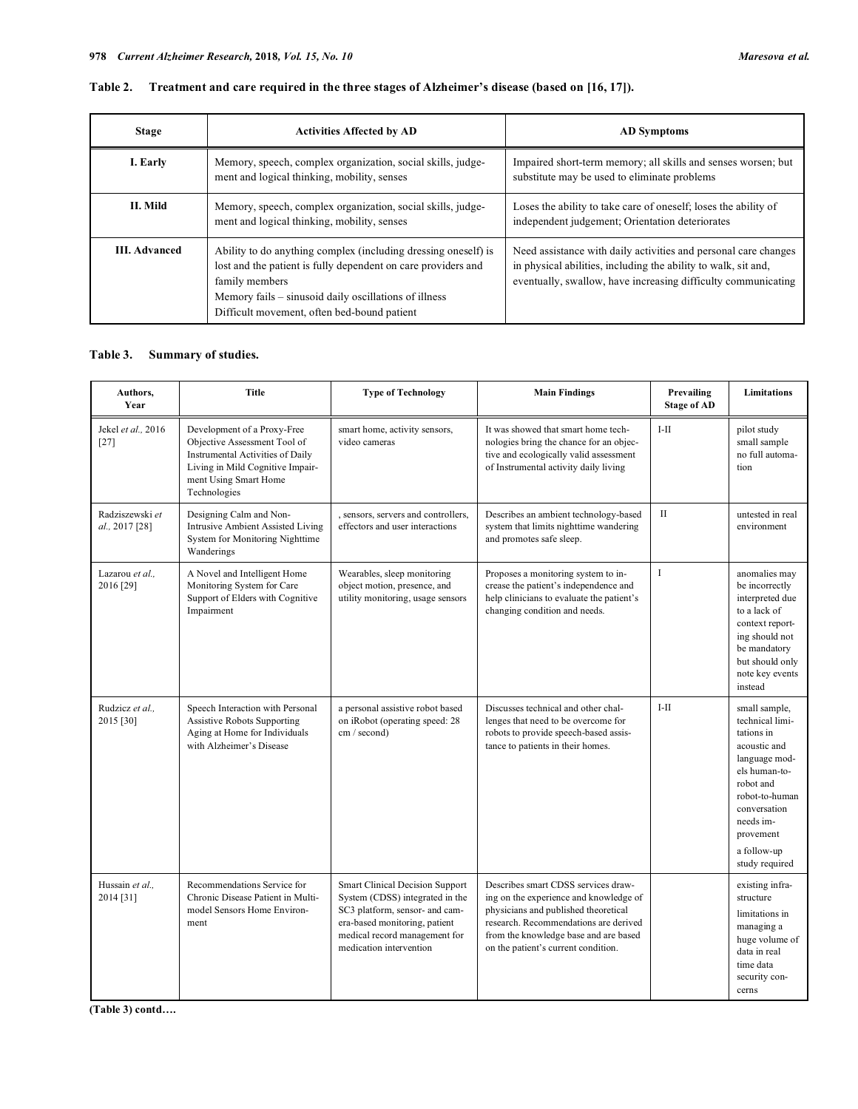| <b>Stage</b>         | <b>Activities Affected by AD</b>                                                                                                                                                                                                                          | <b>AD</b> Symptoms                                                                                                                                                                                 |
|----------------------|-----------------------------------------------------------------------------------------------------------------------------------------------------------------------------------------------------------------------------------------------------------|----------------------------------------------------------------------------------------------------------------------------------------------------------------------------------------------------|
| I. Early             | Memory, speech, complex organization, social skills, judge-<br>ment and logical thinking, mobility, senses                                                                                                                                                | Impaired short-term memory; all skills and senses worsen; but<br>substitute may be used to eliminate problems                                                                                      |
| II. Mild             | Memory, speech, complex organization, social skills, judge-<br>ment and logical thinking, mobility, senses                                                                                                                                                | Loses the ability to take care of oneself; loses the ability of<br>independent judgement; Orientation deteriorates                                                                                 |
| <b>III.</b> Advanced | Ability to do anything complex (including dressing oneself) is<br>lost and the patient is fully dependent on care providers and<br>family members<br>Memory fails – sinusoid daily oscillations of illness<br>Difficult movement, often bed-bound patient | Need assistance with daily activities and personal care changes<br>in physical abilities, including the ability to walk, sit and,<br>eventually, swallow, have increasing difficulty communicating |

|  |  |  |  | Table 2. Treatment and care required in the three stages of Alzheimer's disease (based on [16, 17]). |
|--|--|--|--|------------------------------------------------------------------------------------------------------|
|--|--|--|--|------------------------------------------------------------------------------------------------------|

# **Table 3. Summary of studies.**

| Authors,<br>Year                  | <b>Title</b>                                                                                                                                                                        | <b>Type of Technology</b>                                                                                                                                                                                | <b>Main Findings</b>                                                                                                                                                                                                                           | Prevailing<br><b>Stage of AD</b> | <b>Limitations</b>                                                                                                                                                                                         |
|-----------------------------------|-------------------------------------------------------------------------------------------------------------------------------------------------------------------------------------|----------------------------------------------------------------------------------------------------------------------------------------------------------------------------------------------------------|------------------------------------------------------------------------------------------------------------------------------------------------------------------------------------------------------------------------------------------------|----------------------------------|------------------------------------------------------------------------------------------------------------------------------------------------------------------------------------------------------------|
| Jekel et al., 2016<br>$[27]$      | Development of a Proxy-Free<br>Objective Assessment Tool of<br><b>Instrumental Activities of Daily</b><br>Living in Mild Cognitive Impair-<br>ment Using Smart Home<br>Technologies | smart home, activity sensors,<br>video cameras                                                                                                                                                           | It was showed that smart home tech-<br>nologies bring the chance for an objec-<br>tive and ecologically valid assessment<br>of Instrumental activity daily living                                                                              | $I-II$                           | pilot study<br>small sample<br>no full automa-<br>tion                                                                                                                                                     |
| Radziszewski et<br>al., 2017 [28] | Designing Calm and Non-<br><b>Intrusive Ambient Assisted Living</b><br>System for Monitoring Nighttime<br>Wanderings                                                                | , sensors, servers and controllers,<br>effectors and user interactions                                                                                                                                   | Describes an ambient technology-based<br>system that limits nighttime wandering<br>and promotes safe sleep.                                                                                                                                    | $\mathbf{I}$                     | untested in real<br>environment                                                                                                                                                                            |
| Lazarou et al.,<br>2016 [29]      | A Novel and Intelligent Home<br>Monitoring System for Care<br>Support of Elders with Cognitive<br>Impairment                                                                        | Wearables, sleep monitoring<br>object motion, presence, and<br>utility monitoring, usage sensors                                                                                                         | Proposes a monitoring system to in-<br>crease the patient's independence and<br>help clinicians to evaluate the patient's<br>changing condition and needs.                                                                                     | I.                               | anomalies may<br>be incorrectly<br>interpreted due<br>to a lack of<br>context report-<br>ing should not<br>be mandatory<br>but should only<br>note key events<br>instead                                   |
| Rudzicz et al.,<br>2015 [30]      | Speech Interaction with Personal<br><b>Assistive Robots Supporting</b><br>Aging at Home for Individuals<br>with Alzheimer's Disease                                                 | a personal assistive robot based<br>on iRobot (operating speed: 28<br>cm / second)                                                                                                                       | Discusses technical and other chal-<br>lenges that need to be overcome for<br>robots to provide speech-based assis-<br>tance to patients in their homes.                                                                                       | $I-II$                           | small sample,<br>technical limi-<br>tations in<br>acoustic and<br>language mod-<br>els human-to-<br>robot and<br>robot-to-human<br>conversation<br>needs im-<br>provement<br>a follow-up<br>study required |
| Hussain et al.,<br>2014 [31]      | Recommendations Service for<br>Chronic Disease Patient in Multi-<br>model Sensors Home Environ-<br>ment                                                                             | <b>Smart Clinical Decision Support</b><br>System (CDSS) integrated in the<br>SC3 platform, sensor- and cam-<br>era-based monitoring, patient<br>medical record management for<br>medication intervention | Describes smart CDSS services draw-<br>ing on the experience and knowledge of<br>physicians and published theoretical<br>research. Recommendations are derived<br>from the knowledge base and are based<br>on the patient's current condition. |                                  | existing infra-<br>structure<br>limitations in<br>managing a<br>huge volume of<br>data in real<br>time data<br>security con-<br>cerns                                                                      |

**(Table 3) contd….**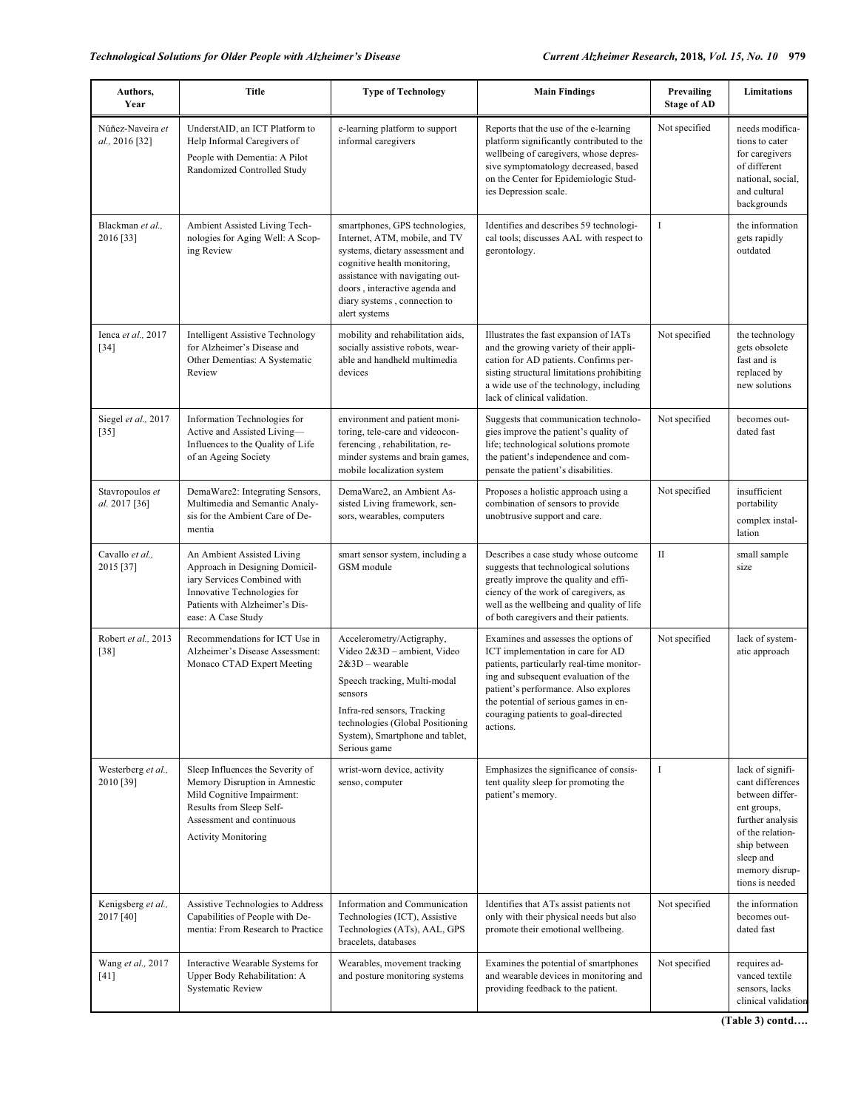| Authors,<br>Year                   | Title                                                                                                                                                                                  | <b>Type of Technology</b>                                                                                                                                                                                                                               | <b>Main Findings</b>                                                                                                                                                                                                                                                                               | Prevailing<br><b>Stage of AD</b> | Limitations                                                                                                                                                                      |
|------------------------------------|----------------------------------------------------------------------------------------------------------------------------------------------------------------------------------------|---------------------------------------------------------------------------------------------------------------------------------------------------------------------------------------------------------------------------------------------------------|----------------------------------------------------------------------------------------------------------------------------------------------------------------------------------------------------------------------------------------------------------------------------------------------------|----------------------------------|----------------------------------------------------------------------------------------------------------------------------------------------------------------------------------|
| Núñez-Naveira et<br>al., 2016 [32] | UnderstAID, an ICT Platform to<br>Help Informal Caregivers of<br>People with Dementia: A Pilot<br>Randomized Controlled Study                                                          | e-learning platform to support<br>informal caregivers                                                                                                                                                                                                   | Reports that the use of the e-learning<br>platform significantly contributed to the<br>wellbeing of caregivers, whose depres-<br>sive symptomatology decreased, based<br>on the Center for Epidemiologic Stud-<br>ies Depression scale.                                                            | Not specified                    | needs modifica-<br>tions to cater<br>for caregivers<br>of different<br>national, social,<br>and cultural<br>backgrounds                                                          |
| Blackman et al.,<br>2016 [33]      | Ambient Assisted Living Tech-<br>nologies for Aging Well: A Scop-<br>ing Review                                                                                                        | smartphones, GPS technologies,<br>Internet, ATM, mobile, and TV<br>systems, dietary assessment and<br>cognitive health monitoring,<br>assistance with navigating out-<br>doors, interactive agenda and<br>diary systems, connection to<br>alert systems | Identifies and describes 59 technologi-<br>cal tools; discusses AAL with respect to<br>gerontology.                                                                                                                                                                                                | $\bf{I}$                         | the information<br>gets rapidly<br>outdated                                                                                                                                      |
| Ienca et al., 2017<br>$[34]$       | <b>Intelligent Assistive Technology</b><br>for Alzheimer's Disease and<br>Other Dementias: A Systematic<br>Review                                                                      | mobility and rehabilitation aids,<br>socially assistive robots, wear-<br>able and handheld multimedia<br>devices                                                                                                                                        | Illustrates the fast expansion of IATs<br>and the growing variety of their appli-<br>cation for AD patients. Confirms per-<br>sisting structural limitations prohibiting<br>a wide use of the technology, including<br>lack of clinical validation.                                                | Not specified                    | the technology<br>gets obsolete<br>fast and is<br>replaced by<br>new solutions                                                                                                   |
| Siegel et al., 2017<br>$[35]$      | Information Technologies for<br>Active and Assisted Living-<br>Influences to the Quality of Life<br>of an Ageing Society                                                               | environment and patient moni-<br>toring, tele-care and videocon-<br>ferencing, rehabilitation, re-<br>minder systems and brain games,<br>mobile localization system                                                                                     | Suggests that communication technolo-<br>gies improve the patient's quality of<br>life; technological solutions promote<br>the patient's independence and com-<br>pensate the patient's disabilities.                                                                                              | Not specified                    | becomes out-<br>dated fast                                                                                                                                                       |
| Stavropoulos et<br>al. 2017 [36]   | DemaWare2: Integrating Sensors,<br>Multimedia and Semantic Analy-<br>sis for the Ambient Care of De-<br>mentia                                                                         | DemaWare2, an Ambient As-<br>sisted Living framework, sen-<br>sors, wearables, computers                                                                                                                                                                | Proposes a holistic approach using a<br>combination of sensors to provide<br>unobtrusive support and care.                                                                                                                                                                                         | Not specified                    | insufficient<br>portability<br>complex instal-<br>lation                                                                                                                         |
| Cavallo et al.,<br>2015 [37]       | An Ambient Assisted Living<br>Approach in Designing Domicil-<br>iary Services Combined with<br>Innovative Technologies for<br>Patients with Alzheimer's Dis-<br>ease: A Case Study     | smart sensor system, including a<br>GSM module                                                                                                                                                                                                          | Describes a case study whose outcome<br>suggests that technological solutions<br>greatly improve the quality and effi-<br>ciency of the work of caregivers, as<br>well as the wellbeing and quality of life<br>of both caregivers and their patients.                                              | $\mathbf{I}$                     | small sample<br>size                                                                                                                                                             |
| Robert et al., 2013<br>$[38]$      | Recommendations for ICT Use in<br>Alzheimer's Disease Assessment:<br>Monaco CTAD Expert Meeting                                                                                        | Accelerometry/Actigraphy,<br>Video 2&3D - ambient, Video<br>$2&3D$ – wearable<br>Speech tracking, Multi-modal<br>sensors<br>Infra-red sensors, Tracking<br>technologies (Global Positioning<br>System), Smartphone and tablet,<br>Serious game          | Examines and assesses the options of<br>ICT implementation in care for AD<br>patients, particularly real-time monitor-<br>ing and subsequent evaluation of the<br>patient's performance. Also explores<br>the potential of serious games in en-<br>couraging patients to goal-directed<br>actions. | Not specified                    | lack of system-<br>atic approach                                                                                                                                                 |
| Westerberg et al.,<br>2010 [39]    | Sleep Influences the Severity of<br>Memory Disruption in Amnestic<br>Mild Cognitive Impairment:<br>Results from Sleep Self-<br>Assessment and continuous<br><b>Activity Monitoring</b> | wrist-worn device, activity<br>senso, computer                                                                                                                                                                                                          | Emphasizes the significance of consis-<br>tent quality sleep for promoting the<br>patient's memory.                                                                                                                                                                                                | $\bf{I}$                         | lack of signifi-<br>cant differences<br>between differ-<br>ent groups,<br>further analysis<br>of the relation-<br>ship between<br>sleep and<br>memory disrup-<br>tions is needed |
| Kenigsberg et al.,<br>2017 [40]    | Assistive Technologies to Address<br>Capabilities of People with De-<br>mentia: From Research to Practice                                                                              | Information and Communication<br>Technologies (ICT), Assistive<br>Technologies (ATs), AAL, GPS<br>bracelets, databases                                                                                                                                  | Identifies that ATs assist patients not<br>only with their physical needs but also<br>promote their emotional wellbeing.                                                                                                                                                                           | Not specified                    | the information<br>becomes out-<br>dated fast                                                                                                                                    |
| Wang et al., 2017<br>$[41]$        | Interactive Wearable Systems for<br>Upper Body Rehabilitation: A<br><b>Systematic Review</b>                                                                                           | Wearables, movement tracking<br>and posture monitoring systems                                                                                                                                                                                          | Examines the potential of smartphones<br>and wearable devices in monitoring and<br>providing feedback to the patient.                                                                                                                                                                              | Not specified                    | requires ad-<br>vanced textile<br>sensors, lacks<br>clinical validation                                                                                                          |

**(Table 3) contd….**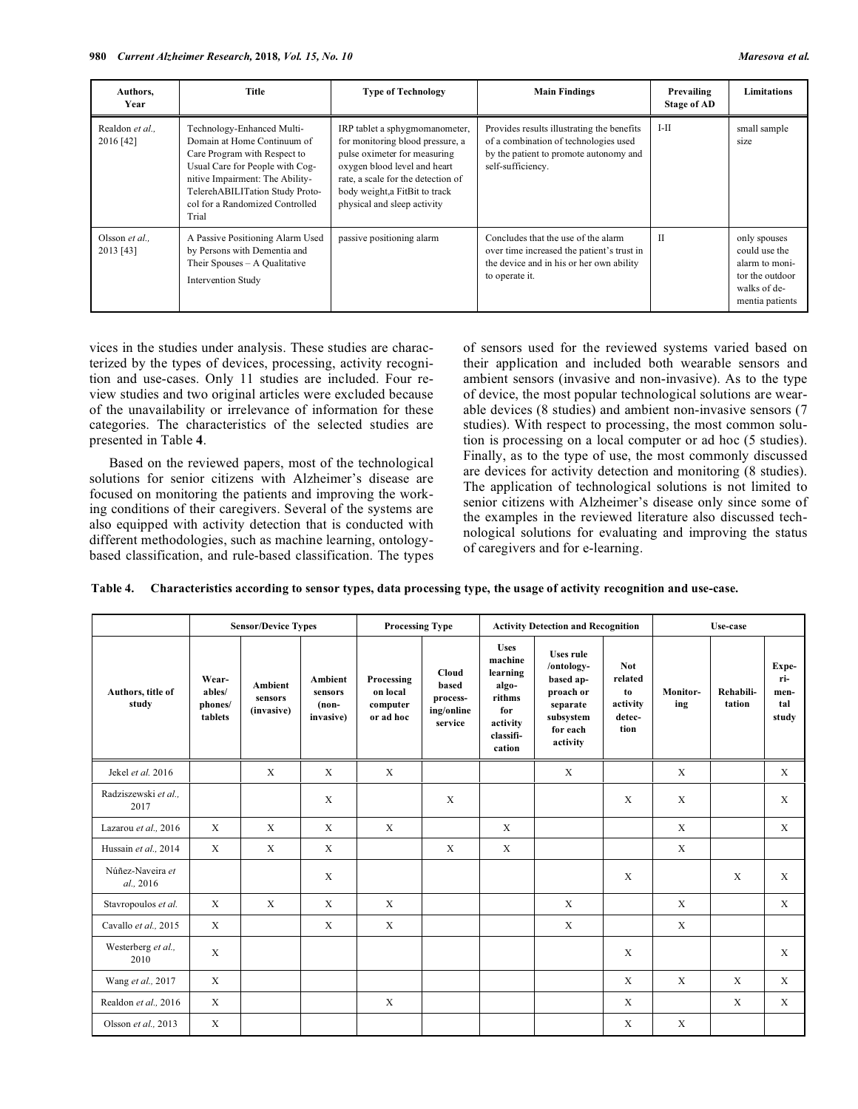| Authors,<br>Year            | Title                                                                                                                                                                                                                                          | <b>Type of Technology</b>                                                                                                                                                                                                                 | <b>Main Findings</b>                                                                                                                               | Prevailing<br><b>Stage of AD</b> | Limitations                                                                                           |
|-----------------------------|------------------------------------------------------------------------------------------------------------------------------------------------------------------------------------------------------------------------------------------------|-------------------------------------------------------------------------------------------------------------------------------------------------------------------------------------------------------------------------------------------|----------------------------------------------------------------------------------------------------------------------------------------------------|----------------------------------|-------------------------------------------------------------------------------------------------------|
| Realdon et al<br>2016 [42]  | Technology-Enhanced Multi-<br>Domain at Home Continuum of<br>Care Program with Respect to<br>Usual Care for People with Cog-<br>nitive Impairment: The Ability-<br>TelerehABILITation Study Proto-<br>col for a Randomized Controlled<br>Trial | IRP tablet a sphygmomanometer,<br>for monitoring blood pressure, a<br>pulse oximeter for measuring<br>oxygen blood level and heart<br>rate, a scale for the detection of<br>body weight, a FitBit to track<br>physical and sleep activity | Provides results illustrating the benefits<br>of a combination of technologies used<br>by the patient to promote autonomy and<br>self-sufficiency. | I-II                             | small sample<br>size                                                                                  |
| Olsson et al.,<br>2013 [43] | A Passive Positioning Alarm Used<br>by Persons with Dementia and<br>Their Spouses – A Qualitative<br><b>Intervention Study</b>                                                                                                                 | passive positioning alarm                                                                                                                                                                                                                 | Concludes that the use of the alarm<br>over time increased the patient's trust in<br>the device and in his or her own ability<br>to operate it.    | $_{\text{II}}$                   | only spouses<br>could use the<br>alarm to moni-<br>tor the outdoor<br>walks of de-<br>mentia patients |

vices in the studies under analysis. These studies are characterized by the types of devices, processing, activity recognition and use-cases. Only 11 studies are included. Four review studies and two original articles were excluded because of the unavailability or irrelevance of information for these categories. The characteristics of the selected studies are presented in Table **4**.

Based on the reviewed papers, most of the technological solutions for senior citizens with Alzheimer's disease are focused on monitoring the patients and improving the working conditions of their caregivers. Several of the systems are also equipped with activity detection that is conducted with different methodologies, such as machine learning, ontologybased classification, and rule-based classification. The types of sensors used for the reviewed systems varied based on their application and included both wearable sensors and ambient sensors (invasive and non-invasive). As to the type of device, the most popular technological solutions are wearable devices (8 studies) and ambient non-invasive sensors (7 studies). With respect to processing, the most common solution is processing on a local computer or ad hoc (5 studies). Finally, as to the type of use, the most commonly discussed are devices for activity detection and monitoring (8 studies). The application of technological solutions is not limited to senior citizens with Alzheimer's disease only since some of the examples in the reviewed literature also discussed technological solutions for evaluating and improving the status of caregivers and for e-learning.

|  | Table 4. Characteristics according to sensor types, data processing type, the usage of activity recognition and use-case. |  |  |  |
|--|---------------------------------------------------------------------------------------------------------------------------|--|--|--|
|--|---------------------------------------------------------------------------------------------------------------------------|--|--|--|

|                               |                                       | <b>Sensor/Device Types</b>       |                                                   | <b>Processing Type</b>                          |                                                     | <b>Activity Detection and Recognition</b>                                                       |                                                                                                           |                                                           | Use-case        |                     |                                      |
|-------------------------------|---------------------------------------|----------------------------------|---------------------------------------------------|-------------------------------------------------|-----------------------------------------------------|-------------------------------------------------------------------------------------------------|-----------------------------------------------------------------------------------------------------------|-----------------------------------------------------------|-----------------|---------------------|--------------------------------------|
| Authors, title of<br>study    | Wear-<br>ables/<br>phones/<br>tablets | Ambient<br>sensors<br>(invasive) | <b>Ambient</b><br>sensors<br>$(non-$<br>invasive) | Processing<br>on local<br>computer<br>or ad hoc | Cloud<br>based<br>process-<br>ing/online<br>service | <b>Uses</b><br>machine<br>learning<br>algo-<br>rithms<br>for<br>activity<br>classifi-<br>cation | <b>Uses rule</b><br>/ontology-<br>based ap-<br>proach or<br>separate<br>subsystem<br>for each<br>activity | <b>Not</b><br>related<br>to<br>activity<br>detec-<br>tion | Monitor-<br>ing | Rehabili-<br>tation | Expe-<br>ri-<br>men-<br>tal<br>study |
| Jekel et al. 2016             |                                       | $\mathbf X$                      | $\mathbf X$                                       | $\mathbf{X}$                                    |                                                     |                                                                                                 | $\mathbf{X}$                                                                                              |                                                           | $\mathbf X$     |                     | $\mathbf{X}$                         |
| Radziszewski et al.,<br>2017  |                                       |                                  | X                                                 |                                                 | X                                                   |                                                                                                 |                                                                                                           | X                                                         | $\mathbf X$     |                     | X                                    |
| Lazarou et al., 2016          | $\mathbf{X}$                          | $\mathbf X$                      | $\mathbf{X}$                                      | $\mathbf X$                                     |                                                     | X                                                                                               |                                                                                                           |                                                           | X               |                     | $\mathbf{X}$                         |
| Hussain et al., 2014          | $\mathbf{x}$                          | $\mathbf{X}$                     | $\mathbf{X}$                                      |                                                 | X                                                   | $\mathbf X$                                                                                     |                                                                                                           |                                                           | $\mathbf{X}$    |                     |                                      |
| Núñez-Naveira et<br>al., 2016 |                                       |                                  | $\mathbf X$                                       |                                                 |                                                     |                                                                                                 |                                                                                                           | $\mathbf X$                                               |                 | $\mathbf X$         | $\mathbf{x}$                         |
| Stavropoulos et al.           | $\mathbf{X}$                          | $\mathbf{x}$                     | $\mathbf{X}$                                      | $\mathbf{x}$                                    |                                                     |                                                                                                 | $\mathbf{X}$                                                                                              |                                                           | $\mathbf{X}$    |                     | $\mathbf x$                          |
| Cavallo et al., 2015          | $\mathbf{X}$                          |                                  | X                                                 | $\mathbf{X}$                                    |                                                     |                                                                                                 | $\mathbf X$                                                                                               |                                                           | $\mathbf X$     |                     |                                      |
| Westerberg et al.,<br>2010    | X                                     |                                  |                                                   |                                                 |                                                     |                                                                                                 |                                                                                                           | X                                                         |                 |                     | $\mathbf x$                          |
| Wang et al., 2017             | $\mathbf{x}$                          |                                  |                                                   |                                                 |                                                     |                                                                                                 |                                                                                                           | X                                                         | X               | $\mathbf{x}$        | $\mathbf{x}$                         |
| Realdon et al., 2016          | $\mathbf{x}$                          |                                  |                                                   | $\mathbf X$                                     |                                                     |                                                                                                 |                                                                                                           | X                                                         |                 | $\mathbf X$         | $\mathbf{x}$                         |
| Olsson et al., 2013           | $\mathbf X$                           |                                  |                                                   |                                                 |                                                     |                                                                                                 |                                                                                                           | X                                                         | X               |                     |                                      |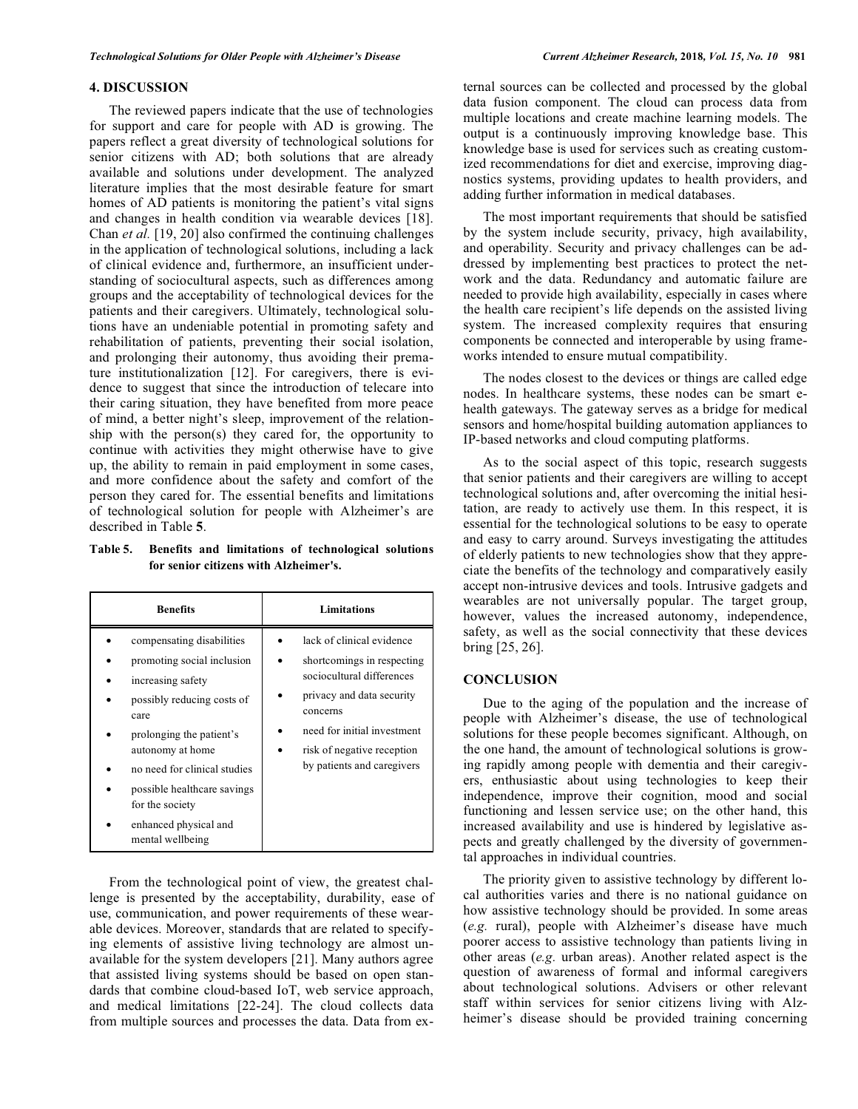# **4. DISCUSSION**

The reviewed papers indicate that the use of technologies for support and care for people with AD is growing. The papers reflect a great diversity of technological solutions for senior citizens with AD; both solutions that are already available and solutions under development. The analyzed literature implies that the most desirable feature for smart homes of AD patients is monitoring the patient's vital signs and changes in health condition via wearable devices [18]. Chan *et al.* [19, 20] also confirmed the continuing challenges in the application of technological solutions, including a lack of clinical evidence and, furthermore, an insufficient understanding of sociocultural aspects, such as differences among groups and the acceptability of technological devices for the patients and their caregivers. Ultimately, technological solutions have an undeniable potential in promoting safety and rehabilitation of patients, preventing their social isolation, and prolonging their autonomy, thus avoiding their premature institutionalization [12]. For caregivers, there is evidence to suggest that since the introduction of telecare into their caring situation, they have benefited from more peace of mind, a better night's sleep, improvement of the relationship with the person(s) they cared for, the opportunity to continue with activities they might otherwise have to give up, the ability to remain in paid employment in some cases, and more confidence about the safety and comfort of the person they cared for. The essential benefits and limitations of technological solution for people with Alzheimer's are described in Table **5**.

**Table 5. Benefits and limitations of technological solutions for senior citizens with Alzheimer's.** 

| <b>Benefits</b>                                                                                                                                                                                                                                                                                   | Limitations                                                                                                                                                                                                              |  |  |  |  |
|---------------------------------------------------------------------------------------------------------------------------------------------------------------------------------------------------------------------------------------------------------------------------------------------------|--------------------------------------------------------------------------------------------------------------------------------------------------------------------------------------------------------------------------|--|--|--|--|
| compensating disabilities<br>promoting social inclusion<br>increasing safety<br>possibly reducing costs of<br>care<br>prolonging the patient's<br>autonomy at home<br>no need for clinical studies<br>possible healthcare savings<br>for the society<br>enhanced physical and<br>mental wellbeing | lack of clinical evidence<br>shortcomings in respecting<br>sociocultural differences<br>privacy and data security<br>concerns<br>need for initial investment<br>risk of negative reception<br>by patients and caregivers |  |  |  |  |

From the technological point of view, the greatest challenge is presented by the acceptability, durability, ease of use, communication, and power requirements of these wearable devices. Moreover, standards that are related to specifying elements of assistive living technology are almost unavailable for the system developers [21]. Many authors agree that assisted living systems should be based on open standards that combine cloud-based IoT, web service approach, and medical limitations [22-24]. The cloud collects data from multiple sources and processes the data. Data from external sources can be collected and processed by the global data fusion component. The cloud can process data from multiple locations and create machine learning models. The output is a continuously improving knowledge base. This knowledge base is used for services such as creating customized recommendations for diet and exercise, improving diagnostics systems, providing updates to health providers, and adding further information in medical databases.

The most important requirements that should be satisfied by the system include security, privacy, high availability, and operability. Security and privacy challenges can be addressed by implementing best practices to protect the network and the data. Redundancy and automatic failure are needed to provide high availability, especially in cases where the health care recipient's life depends on the assisted living system. The increased complexity requires that ensuring components be connected and interoperable by using frameworks intended to ensure mutual compatibility.

The nodes closest to the devices or things are called edge nodes. In healthcare systems, these nodes can be smart ehealth gateways. The gateway serves as a bridge for medical sensors and home/hospital building automation appliances to IP-based networks and cloud computing platforms.

As to the social aspect of this topic, research suggests that senior patients and their caregivers are willing to accept technological solutions and, after overcoming the initial hesitation, are ready to actively use them. In this respect, it is essential for the technological solutions to be easy to operate and easy to carry around. Surveys investigating the attitudes of elderly patients to new technologies show that they appreciate the benefits of the technology and comparatively easily accept non-intrusive devices and tools. Intrusive gadgets and wearables are not universally popular. The target group, however, values the increased autonomy, independence, safety, as well as the social connectivity that these devices bring [25, 26].

### **CONCLUSION**

Due to the aging of the population and the increase of people with Alzheimer's disease, the use of technological solutions for these people becomes significant. Although, on the one hand, the amount of technological solutions is growing rapidly among people with dementia and their caregivers, enthusiastic about using technologies to keep their independence, improve their cognition, mood and social functioning and lessen service use; on the other hand, this increased availability and use is hindered by legislative aspects and greatly challenged by the diversity of governmental approaches in individual countries.

The priority given to assistive technology by different local authorities varies and there is no national guidance on how assistive technology should be provided. In some areas (*e.g.* rural), people with Alzheimer's disease have much poorer access to assistive technology than patients living in other areas (*e.g.* urban areas). Another related aspect is the question of awareness of formal and informal caregivers about technological solutions. Advisers or other relevant staff within services for senior citizens living with Alzheimer's disease should be provided training concerning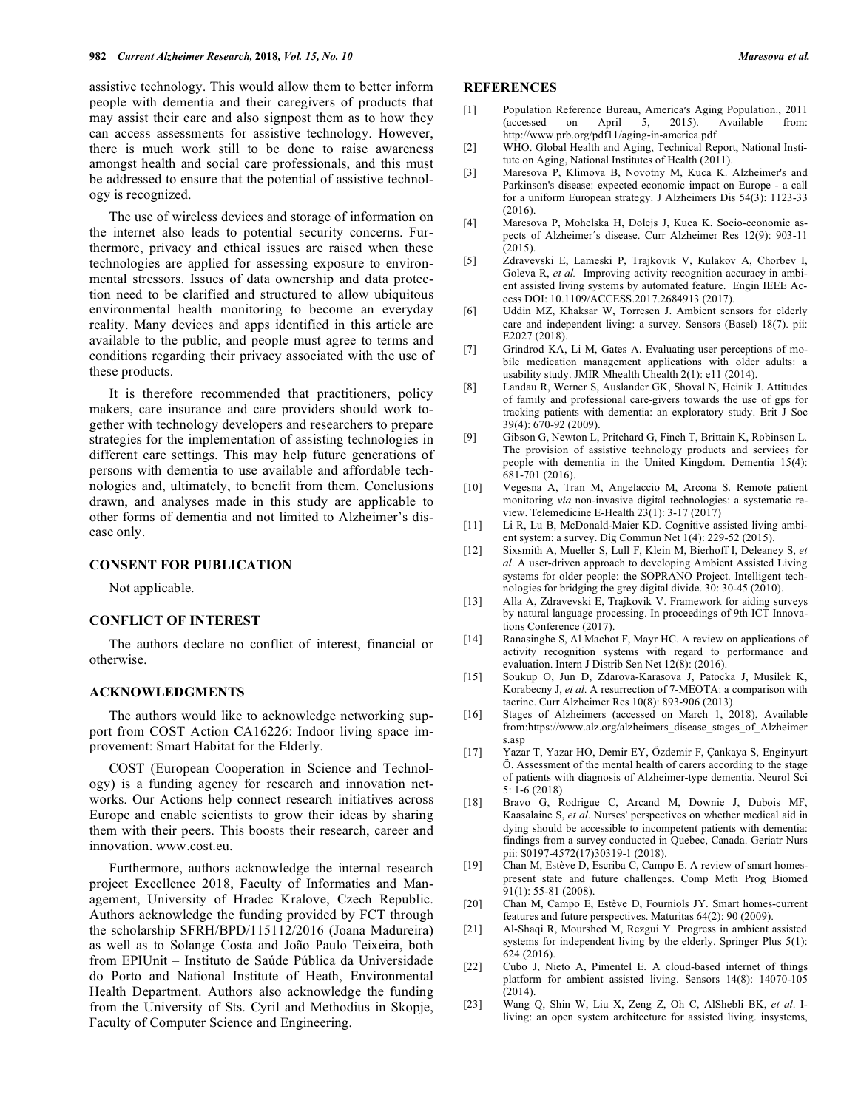assistive technology. This would allow them to better inform people with dementia and their caregivers of products that may assist their care and also signpost them as to how they can access assessments for assistive technology. However, there is much work still to be done to raise awareness amongst health and social care professionals, and this must be addressed to ensure that the potential of assistive technology is recognized.

The use of wireless devices and storage of information on the internet also leads to potential security concerns. Furthermore, privacy and ethical issues are raised when these technologies are applied for assessing exposure to environmental stressors. Issues of data ownership and data protection need to be clarified and structured to allow ubiquitous environmental health monitoring to become an everyday reality. Many devices and apps identified in this article are available to the public, and people must agree to terms and conditions regarding their privacy associated with the use of these products.

It is therefore recommended that practitioners, policy makers, care insurance and care providers should work together with technology developers and researchers to prepare strategies for the implementation of assisting technologies in different care settings. This may help future generations of persons with dementia to use available and affordable technologies and, ultimately, to benefit from them. Conclusions drawn, and analyses made in this study are applicable to other forms of dementia and not limited to Alzheimer's disease only.

#### **CONSENT FOR PUBLICATION**

Not applicable.

#### **CONFLICT OF INTEREST**

The authors declare no conflict of interest, financial or otherwise.

# **ACKNOWLEDGMENTS**

The authors would like to acknowledge networking support from COST Action CA16226: Indoor living space improvement: Smart Habitat for the Elderly.

COST (European Cooperation in Science and Technology) is a funding agency for research and innovation networks. Our Actions help connect research initiatives across Europe and enable scientists to grow their ideas by sharing them with their peers. This boosts their research, career and innovation. www.cost.eu.

Furthermore, authors acknowledge the internal research project Excellence 2018, Faculty of Informatics and Management, University of Hradec Kralove, Czech Republic. Authors acknowledge the funding provided by FCT through the scholarship SFRH/BPD/115112/2016 (Joana Madureira) as well as to Solange Costa and João Paulo Teixeira, both from EPIUnit – Instituto de Saúde Pública da Universidade do Porto and National Institute of Heath, Environmental Health Department. Authors also acknowledge the funding from the University of Sts. Cyril and Methodius in Skopje, Faculty of Computer Science and Engineering.

### **REFERENCES**

- [1] Population Reference Bureau, America's Aging Population., 2011 (accessed on April 5, 2015). Available from: http://www.prb.org/pdf11/aging-in-america.pdf
- [2] WHO. Global Health and Aging, Technical Report, National Institute on Aging, National Institutes of Health (2011).
- [3] Maresova P, Klimova B, Novotny M, Kuca K. Alzheimer's and Parkinson's disease: expected economic impact on Europe - a call for a uniform European strategy. J Alzheimers Dis 54(3): 1123-33 (2016).
- [4] Maresova P, Mohelska H, Dolejs J, Kuca K. Socio-economic aspects of Alzheimer´s disease. Curr Alzheimer Res 12(9): 903-11 (2015).
- [5] Zdravevski E, Lameski P, Trajkovik V, Kulakov A, Chorbev I, Goleva R, *et al.* Improving activity recognition accuracy in ambient assisted living systems by automated feature. Engin IEEE Access DOI: 10.1109/ACCESS.2017.2684913 (2017).
- [6] Uddin MZ, Khaksar W, Torresen J. Ambient sensors for elderly care and independent living: a survey. Sensors (Basel) 18(7). pii: E2027 (2018).
- [7] Grindrod KA, Li M, Gates A. Evaluating user perceptions of mobile medication management applications with older adults: a usability study. JMIR Mhealth Uhealth 2(1): e11 (2014).
- [8] Landau R, Werner S, Auslander GK, Shoval N, Heinik J. Attitudes of family and professional care-givers towards the use of gps for tracking patients with dementia: an exploratory study. Brit J Soc 39(4): 670-92 (2009).
- [9] Gibson G, Newton L, Pritchard G, Finch T, Brittain K, Robinson L. The provision of assistive technology products and services for people with dementia in the United Kingdom. Dementia 15(4): 681-701 (2016).
- [10] Vegesna A, Tran M, Angelaccio M, Arcona S. Remote patient monitoring *via* non-invasive digital technologies: a systematic review. Telemedicine E-Health 23(1): 3-17 (2017)
- [11] Li R, Lu B, McDonald-Maier KD. Cognitive assisted living ambient system: a survey. Dig Commun Net 1(4): 229-52 (2015).
- [12] Sixsmith A, Mueller S, Lull F, Klein M, Bierhoff I, Deleaney S, *et al*. A user-driven approach to developing Ambient Assisted Living systems for older people: the SOPRANO Project. Intelligent technologies for bridging the grey digital divide. 30: 30-45 (2010).
- [13] Alla A, Zdravevski E, Trajkovik V. Framework for aiding surveys by natural language processing. In proceedings of 9th ICT Innovations Conference (2017).
- [14] Ranasinghe S, Al Machot F, Mayr HC. A review on applications of activity recognition systems with regard to performance and evaluation. Intern J Distrib Sen Net 12(8): (2016).
- [15] Soukup O, Jun D, Zdarova-Karasova J, Patocka J, Musilek K, Korabecny J, *et al*. A resurrection of 7-MEOTA: a comparison with tacrine. Curr Alzheimer Res 10(8): 893-906 (2013).
- [16] Stages of Alzheimers (accessed on March 1, 2018), Available from:https://www.alz.org/alzheimers\_disease\_stages\_of\_Alzheimer s.asp
- [17] Yazar T, Yazar HO, Demir EY, Özdemir F, Çankaya S, Enginyurt Ö. Assessment of the mental health of carers according to the stage of patients with diagnosis of Alzheimer-type dementia. Neurol Sci 5: 1-6 (2018)
- [18] Bravo G, Rodrigue C, Arcand M, Downie J, Dubois MF, Kaasalaine S, *et al*. Nurses' perspectives on whether medical aid in dying should be accessible to incompetent patients with dementia: findings from a survey conducted in Quebec, Canada. Geriatr Nurs pii: S0197-4572(17)30319-1 (2018).
- [19] Chan M, Estève D, Escriba C, Campo E. A review of smart homespresent state and future challenges. Comp Meth Prog Biomed 91(1): 55-81 (2008).
- [20] Chan M, Campo E, Estève D, Fourniols JY. Smart homes-current features and future perspectives. Maturitas 64(2): 90 (2009).
- [21] Al-Shaqi R, Mourshed M, Rezgui Y. Progress in ambient assisted systems for independent living by the elderly. Springer Plus 5(1): 624 (2016).
- [22] Cubo J, Nieto A, Pimentel E. A cloud-based internet of things platform for ambient assisted living. Sensors 14(8): 14070-105 (2014).
- [23] Wang Q, Shin W, Liu X, Zeng Z, Oh C, AlShebli BK, *et al*. Iliving: an open system architecture for assisted living. insystems,